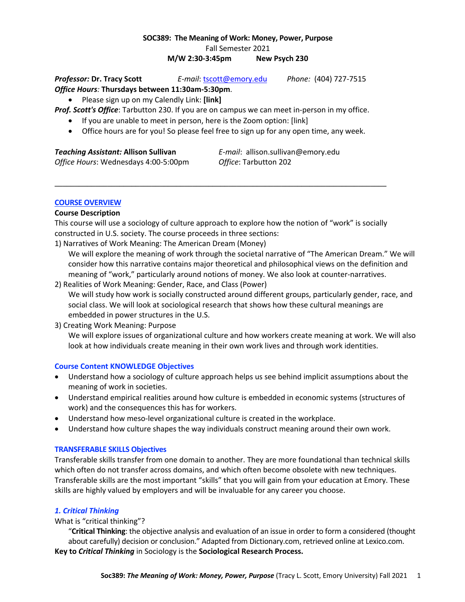# **SOC389: The Meaning of Work: Money, Power, Purpose** Fall Semester 2021

**M/W 2:30-3:45pm New Psych 230**

*Professor:* **Dr. Tracy Scott** *E-mail*: tscott@emory.edu *Phone:* (404) 727-7515 *Office Hours:* **Thursdays between 11:30am-5:30pm**.

• Please sign up on my Calendly Link: **[link]**

- *Prof. Scott's Office*: Tarbutton 230. If you are on campus we can meet in-person in my office.
	- If you are unable to meet in person, here is the Zoom option: [link]
	- Office hours are for you! So please feel free to sign up for any open time, any week.

### *Teaching Assistant:* **Allison Sullivan** *E-mail*: allison.sullivan@emory.edu

*Office Hours*: Wednesdays 4:00-5:00pm *Office*: Tarbutton 202

# **COURSE OVERVIEW**

# **Course Description**

This course will use a sociology of culture approach to explore how the notion of "work" is socially constructed in U.S. society. The course proceeds in three sections:

\_\_\_\_\_\_\_\_\_\_\_\_\_\_\_\_\_\_\_\_\_\_\_\_\_\_\_\_\_\_\_\_\_\_\_\_\_\_\_\_\_\_\_\_\_\_\_\_\_\_\_\_\_\_\_\_\_\_\_\_\_\_\_\_\_\_\_\_\_\_\_\_\_\_\_\_\_\_\_\_\_\_

1) Narratives of Work Meaning: The American Dream (Money)

We will explore the meaning of work through the societal narrative of "The American Dream." We will consider how this narrative contains major theoretical and philosophical views on the definition and meaning of "work," particularly around notions of money. We also look at counter-narratives.

2) Realities of Work Meaning: Gender, Race, and Class (Power) We will study how work is socially constructed around different groups, particularly gender, race, and social class. We will look at sociological research that shows how these cultural meanings are embedded in power structures in the U.S.

# 3) Creating Work Meaning: Purpose

We will explore issues of organizational culture and how workers create meaning at work. We will also look at how individuals create meaning in their own work lives and through work identities.

# **Course Content KNOWLEDGE Objectives**

- Understand how a sociology of culture approach helps us see behind implicit assumptions about the meaning of work in societies.
- Understand empirical realities around how culture is embedded in economic systems (structures of work) and the consequences this has for workers.
- Understand how meso-level organizational culture is created in the workplace.
- Understand how culture shapes the way individuals construct meaning around their own work.

# **TRANSFERABLE SKILLS Objectives**

Transferable skills transfer from one domain to another. They are more foundational than technical skills which often do not transfer across domains, and which often become obsolete with new techniques. Transferable skills are the most important "skills" that you will gain from your education at Emory. These skills are highly valued by employers and will be invaluable for any career you choose.

# *1. Critical Thinking*

# What is "critical thinking"?

"**Critical Thinking**: the objective analysis and evaluation of an issue in order to form a considered (thought about carefully) decision or conclusion." Adapted from Dictionary.com, retrieved online at Lexico.com. **Key to** *Critical Thinking* in Sociology is the **Sociological Research Process.**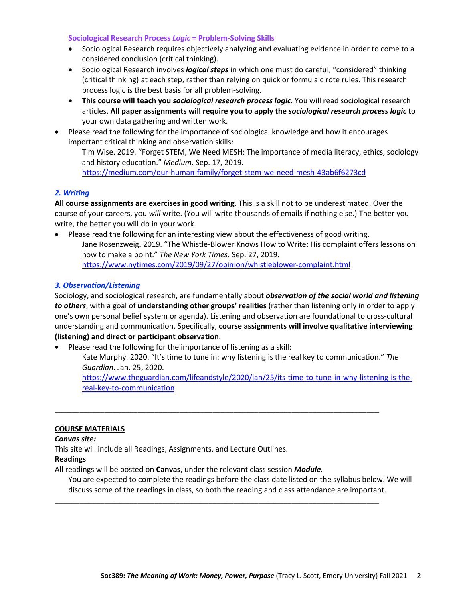### **Sociological Research Process** *Logic* **= Problem-Solving Skills**

- Sociological Research requires objectively analyzing and evaluating evidence in order to come to a considered conclusion (critical thinking).
- Sociological Research involves *logical steps* in which one must do careful, "considered" thinking (critical thinking) at each step, rather than relying on quick or formulaic rote rules. This research process logic is the best basis for all problem-solving.
- **This course will teach you** *sociological research process logic*. You will read sociological research articles. **All paper assignments will require you to apply the** *sociological research process logic* to your own data gathering and written work.
- Please read the following for the importance of sociological knowledge and how it encourages important critical thinking and observation skills:

Tim Wise. 2019. "Forget STEM, We Need MESH: The importance of media literacy, ethics, sociology and history education." *Medium*. Sep. 17, 2019.

https://medium.com/our-human-family/forget-stem-we-need-mesh-43ab6f6273cd

# *2. Writing*

**All course assignments are exercises in good writing**. This is a skill not to be underestimated. Over the course of your careers, you *will* write. (You will write thousands of emails if nothing else.) The better you write, the better you will do in your work.

• Please read the following for an interesting view about the effectiveness of good writing. Jane Rosenzweig. 2019. "The Whistle-Blower Knows How to Write: His complaint offers lessons on how to make a point." *The New York Times*. Sep. 27, 2019. https://www.nytimes.com/2019/09/27/opinion/whistleblower-complaint.html

# *3. Observation/Listening*

Sociology, and sociological research, are fundamentally about *observation of the social world and listening to others*, with a goal of **understanding other groups' realities** (rather than listening only in order to apply one's own personal belief system or agenda). Listening and observation are foundational to cross-cultural understanding and communication. Specifically, **course assignments will involve qualitative interviewing (listening) and direct or participant observation**.

• Please read the following for the importance of listening as a skill:

Kate Murphy. 2020. "It's time to tune in: why listening is the real key to communication." *The Guardian*. Jan. 25, 2020.

\_\_\_\_\_\_\_\_\_\_\_\_\_\_\_\_\_\_\_\_\_\_\_\_\_\_\_\_\_\_\_\_\_\_\_\_\_\_\_\_\_\_\_\_\_\_\_\_\_\_\_\_\_\_\_\_\_\_\_\_\_\_\_\_\_\_\_\_\_\_\_\_\_\_\_\_\_\_

\_\_\_\_\_\_\_\_\_\_\_\_\_\_\_\_\_\_\_\_\_\_\_\_\_\_\_\_\_\_\_\_\_\_\_\_\_\_\_\_\_\_\_\_\_\_\_\_\_\_\_\_\_\_\_\_\_\_\_\_\_\_\_\_\_\_\_\_\_\_\_\_\_\_\_\_\_\_

https://www.theguardian.com/lifeandstyle/2020/jan/25/its-time-to-tune-in-why-listening-is-thereal-key-to-communication

# **COURSE MATERIALS**

# *Canvas site:*

This site will include all Readings, Assignments, and Lecture Outlines.

# **Readings**

All readings will be posted on **Canvas**, under the relevant class session *Module.*

You are expected to complete the readings before the class date listed on the syllabus below. We will discuss some of the readings in class, so both the reading and class attendance are important.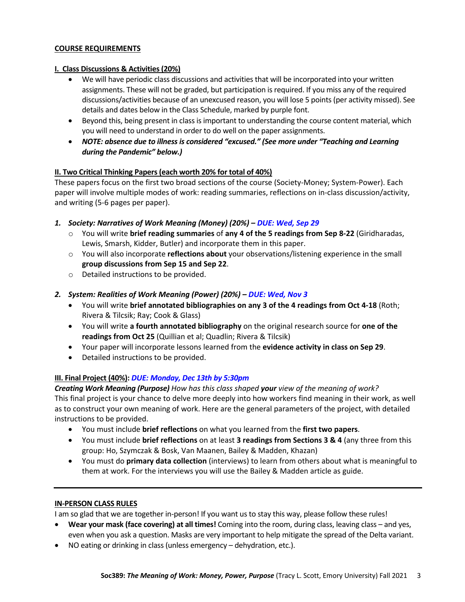### **COURSE REQUIREMENTS**

### **I. Class Discussions & Activities(20%)**

- We will have periodic class discussions and activities that will be incorporated into your written assignments. These will not be graded, but participation isrequired. If you miss any of the required discussions/activities because of an unexcused reason, you will lose 5 points (per activity missed). See details and dates below in the Class Schedule, marked by purple font.
- Beyond this, being present in class is important to understanding the course content material, which you will need to understand in order to do well on the paper assignments.
- *NOTE: absence due to illness is considered "excused." (See more under "Teaching and Learning during the Pandemic" below.)*

# **II. Two Critical Thinking Papers (each worth 20% for total of 40%)**

These papers focus on the first two broad sections of the course (Society-Money; System-Power). Each paper will involve multiple modes of work: reading summaries, reflections on in-class discussion/activity, and writing (5-6 pages per paper).

- *1. Society: Narratives of Work Meaning (Money) (20%) – DUE: Wed, Sep 29*
	- o You will write **brief reading summaries** of **any 4 of the 5 readings from Sep 8-22** (Giridharadas, Lewis, Smarsh, Kidder, Butler) and incorporate them in this paper.
	- o You will also incorporate **reflections about** your observations/listening experience in the small **group discussions from Sep 15 and Sep 22**.
	- o Detailed instructions to be provided.
- *2. System: Realities of Work Meaning (Power) (20%) – DUE: Wed, Nov 3*
	- You will write **brief annotated bibliographies on any 3 of the 4 readings from Oct 4-18** (Roth; Rivera & Tilcsik; Ray; Cook & Glass)
	- You will write **a fourth annotated bibliography** on the original research source for **one of the readings from Oct 25** (Quillian et al; Quadlin; Rivera & Tilcsik)
	- Your paper will incorporate lessons learned from the **evidence activity in class on Sep 29**.
	- Detailed instructions to be provided.

# **III. Final Project (40%):** *DUE: Monday, Dec 13th by 5:30pm*

*Creating Work Meaning (Purpose) How has this class shaped your view of the meaning of work?* This final project is your chance to delve more deeply into how workers find meaning in their work, as well as to construct your own meaning of work. Here are the general parameters of the project, with detailed instructions to be provided.

- You must include **brief reflections** on what you learned from the **first two papers**.
- You must include **brief reflections** on at least **3 readings from Sections 3 & 4** (any three from this group: Ho, Szymczak & Bosk, Van Maanen, Bailey & Madden, Khazan)
- You must do **primary data collection** (interviews) to learn from others about what is meaningful to them at work. For the interviews you will use the Bailey & Madden article as guide.

# **IN-PERSON CLASS RULES**

I am so glad that we are together in-person! If you want us to stay this way, please follow these rules!

- **Wear your mask (face covering) at all times!** Coming into the room, during class, leaving class and yes, even when you ask a question. Masks are very important to help mitigate the spread of the Delta variant.
- NO eating or drinking in class (unless emergency dehydration, etc.).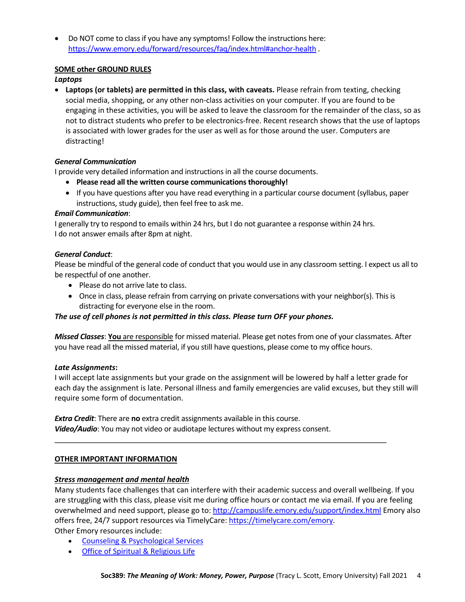• Do NOT come to class if you have any symptoms! Follow the instructions here: https://www.emory.edu/forward/resources/faq/index.html#anchor-health .

# **SOME other GROUND RULES**

# *Laptops*

• **Laptops (or tablets) are permitted in this class, with caveats.** Please refrain from texting, checking social media, shopping, or any other non-class activities on your computer. If you are found to be engaging in these activities, you will be asked to leave the classroom for the remainder of the class, so as not to distract students who prefer to be electronics-free. Recent research shows that the use of laptops is associated with lower grades for the user as well as for those around the user. Computers are distracting!

# *General Communication*

I provide very detailed information and instructions in all the course documents.

- **Please read all the written course communications thoroughly!**
- If you have questions after you have read everything in a particular course document (syllabus, paper instructions, study guide), then feel free to ask me.

# *Email Communication*:

I generally try to respond to emails within 24 hrs, but I do not guarantee a response within 24 hrs. I do not answer emails after 8pm at night.

# *General Conduct*:

Please be mindful of the general code of conduct that you would use in any classroom setting. I expect us all to be respectful of one another.

- Please do not arrive late to class.
- Once in class, please refrain from carrying on private conversations with your neighbor(s). This is distracting for everyone else in the room.

# *The use of cell phones is not permitted in this class. Please turn OFF your phones.*

*Missed Classes*: **You** are responsible for missed material. Please get notes from one of your classmates. After you have read all the missed material, if you still have questions, please come to my office hours.

# *Late Assignments***:**

I will accept late assignments but your grade on the assignment will be lowered by half a letter grade for each day the assignment is late. Personal illness and family emergencies are valid excuses, but they still will require some form of documentation.

\_\_\_\_\_\_\_\_\_\_\_\_\_\_\_\_\_\_\_\_\_\_\_\_\_\_\_\_\_\_\_\_\_\_\_\_\_\_\_\_\_\_\_\_\_\_\_\_\_\_\_\_\_\_\_\_\_\_\_\_\_\_\_\_\_\_\_\_\_\_\_\_\_\_\_\_\_\_\_\_\_\_

*Extra Credit*: There are **no** extra credit assignments available in this course. *Video/Audio*: You may not video or audiotape lectures without my express consent.

# **OTHER IMPORTANT INFORMATION**

# *Stress management and mental health*

Many students face challenges that can interfere with their academic success and overall wellbeing. If you are struggling with this class, please visit me during office hours or contact me via email. If you are feeling overwhelmed and need support, please go to: http://campuslife.emory.edu/support/index.html Emory also offers free, 24/7 support resources via TimelyCare: https://timelycare.com/emory. Other Emory resources include:

- Counseling & Psychological Services
- Office of Spiritual & Religious Life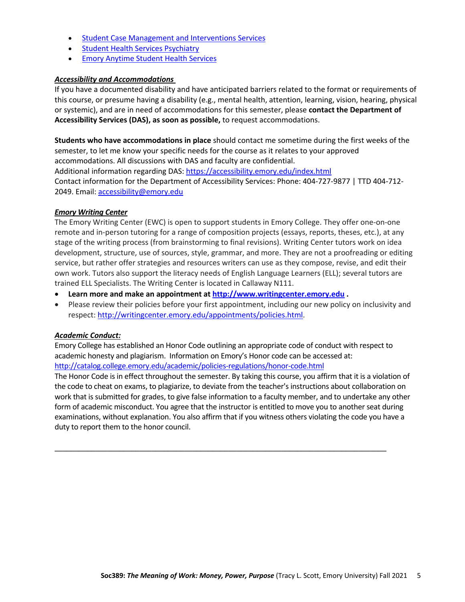- Student Case Management and Interventions Services
- Student Health Services Psychiatry
- Emory Anytime Student Health Services

### *Accessibility and Accommodations*

If you have a documented disability and have anticipated barriers related to the format or requirements of this course, or presume having a disability (e.g., mental health, attention, learning, vision, hearing, physical or systemic), and are in need of accommodations for this semester, please **contact the Department of Accessibility Services (DAS), as soon as possible,** to request accommodations.

**Students who have accommodations in place** should contact me sometime during the first weeks of the semester, to let me know your specific needs for the course as it relates to your approved accommodations. All discussions with DAS and faculty are confidential. Additional information regarding DAS: https://accessibility.emory.edu/index.html

Contact information for the Department of Accessibility Services: Phone: 404-727-9877 | TTD 404-712- 2049. Email: accessibility@emory.edu

### *Emory Writing Center*

The Emory Writing Center (EWC) is open to support students in Emory College. They offer one-on-one remote and in-person tutoring for a range of composition projects (essays, reports, theses, etc.), at any stage of the writing process (from brainstorming to final revisions). Writing Center tutors work on idea development, structure, use of sources, style, grammar, and more. They are not a proofreading or editing service, but rather offer strategies and resources writers can use as they compose, revise, and edit their own work. Tutors also support the literacy needs of English Language Learners (ELL); several tutors are trained ELL Specialists. The Writing Center is located in Callaway N111.

- **Learn more and make an appointment at http://www.writingcenter.emory.edu .**
- Please review their policies before your first appointment, including our new policy on inclusivity and respect: http://writingcenter.emory.edu/appointments/policies.html.

#### *Academic Conduct:*

Emory College has established an Honor Code outlining an appropriate code of conduct with respect to academic honesty and plagiarism. Information on Emory's Honor code can be accessed at: http://catalog.college.emory.edu/academic/policies-regulations/honor-code.html

The Honor Code is in effect throughout the semester. By taking this course, you affirm that it is a violation of the code to cheat on exams, to plagiarize, to deviate from the teacher's instructions about collaboration on work that is submitted for grades, to give false information to a faculty member, and to undertake any other form of academic misconduct. You agree that the instructor is entitled to move you to another seat during examinations, without explanation. You also affirm that if you witness others violating the code you have a duty to report them to the honor council.

\_\_\_\_\_\_\_\_\_\_\_\_\_\_\_\_\_\_\_\_\_\_\_\_\_\_\_\_\_\_\_\_\_\_\_\_\_\_\_\_\_\_\_\_\_\_\_\_\_\_\_\_\_\_\_\_\_\_\_\_\_\_\_\_\_\_\_\_\_\_\_\_\_\_\_\_\_\_\_\_\_\_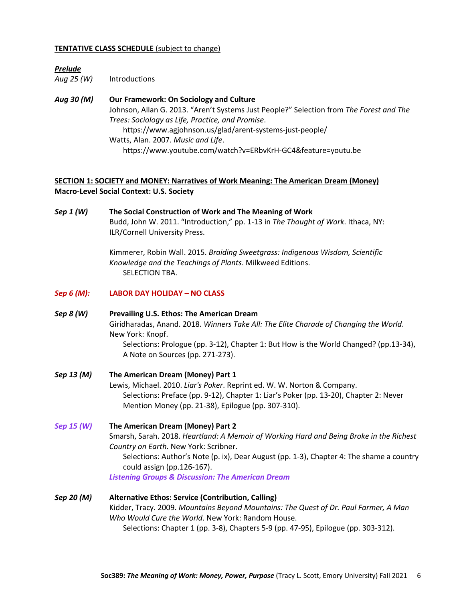#### **TENTATIVE CLASS SCHEDULE** (subject to change)

### *Prelude*

*Aug 25 (W)* Introductions

*Aug 30 (M)* **Our Framework: On Sociology and Culture** Johnson, Allan G. 2013. "Aren't Systems Just People?" Selection from *The Forest and The Trees: Sociology as Life, Practice, and Promise*. https://www.agjohnson.us/glad/arent-systems-just-people/ Watts, Alan. 2007. *Music and Life*. https://www.youtube.com/watch?v=ERbvKrH-GC4&feature=youtu.be

# **SECTION 1: SOCIETY and MONEY: Narratives of Work Meaning: The American Dream (Money) Macro-Level Social Context: U.S. Society**

*Sep 1 (W)* **The Social Construction of Work and The Meaning of Work** Budd, John W. 2011. "Introduction," pp. 1-13 in *The Thought of Work*. Ithaca, NY: ILR/Cornell University Press.

> Kimmerer, Robin Wall. 2015. *Braiding Sweetgrass: Indigenous Wisdom, Scientific Knowledge and the Teachings of Plants*. Milkweed Editions. SELECTION TBA.

- *Sep 6 (M):* **LABOR DAY HOLIDAY – NO CLASS**
- *Sep 8 (W)* **Prevailing U.S. Ethos: The American Dream** Giridharadas, Anand. 2018. *Winners Take All: The Elite Charade of Changing the World*. New York: Knopf. Selections: Prologue (pp. 3-12), Chapter 1: But How is the World Changed? (pp.13-34), A Note on Sources (pp. 271-273).
- *Sep 13 (M)* **The American Dream (Money) Part 1** Lewis, Michael. 2010. *Liar's Poker*. Reprint ed. W. W. Norton & Company. Selections: Preface (pp. 9-12), Chapter 1: Liar's Poker (pp. 13-20), Chapter 2: Never Mention Money (pp. 21-38), Epilogue (pp. 307-310).
- *Sep 15 (W)* **The American Dream (Money) Part 2** Smarsh, Sarah. 2018. *Heartland: A Memoir of Working Hard and Being Broke in the Richest Country on Earth*. New York: Scribner. Selections: Author's Note (p. ix), Dear August (pp. 1-3), Chapter 4: The shame a country could assign (pp.126-167). *Listening Groups & Discussion: The American Dream*
- *Sep 20 (M)* **Alternative Ethos: Service (Contribution, Calling)** Kidder, Tracy. 2009. *Mountains Beyond Mountains: The Quest of Dr. Paul Farmer, A Man Who Would Cure the World*. New York: Random House. Selections: Chapter 1 (pp. 3-8), Chapters 5-9 (pp. 47-95), Epilogue (pp. 303-312).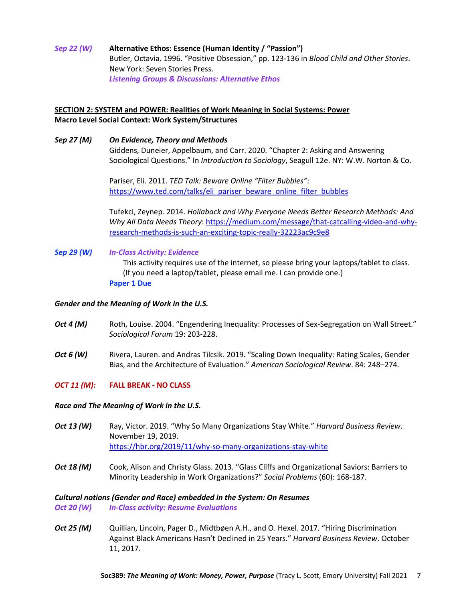*Sep 22 (W)* **Alternative Ethos: Essence (Human Identity / "Passion")** Butler, Octavia. 1996. "Positive Obsession," pp. 123-136 in *Blood Child and Other Stories*. New York: Seven Stories Press. *Listening Groups & Discussions: Alternative Ethos*

# **SECTION 2: SYSTEM and POWER: Realities of Work Meaning in Social Systems: Power Macro Level Social Context: Work System/Structures**

*Sep 27 (M) On Evidence, Theory and Methods* Giddens, Duneier, Appelbaum, and Carr. 2020. "Chapter 2: Asking and Answering Sociological Questions." In *Introduction to Sociology*, Seagull 12e. NY: W.W. Norton & Co.

> Pariser, Eli. 2011. *TED Talk: Beware Online "Filter Bubbles"*: https://www.ted.com/talks/eli\_pariser\_beware\_online\_filter\_bubbles

Tufekci, Zeynep. 2014. *Hollaback and Why Everyone Needs Better Research Methods: And Why All Data Needs Theory*: https://medium.com/message/that-catcalling-video-and-whyresearch-methods-is-such-an-exciting-topic-really-32223ac9c9e8

*Sep 29 (W) In-Class Activity: Evidence* This activity requires use of the internet, so please bring your laptops/tablet to class. (If you need a laptop/tablet, please email me. I can provide one.) **Paper 1 Due**

#### *Gender and the Meaning of Work in the U.S.*

- Oct 4 (M) Roth, Louise. 2004. "Engendering Inequality: Processes of Sex-Segregation on Wall Street." *Sociological Forum* 19: 203-228.
- *Oct 6 (W)* Rivera, Lauren. and Andras Tilcsik. 2019. "Scaling Down Inequality: Rating Scales, Gender Bias, and the Architecture of Evaluation." *American Sociological Review*. 84: 248–274.

# *OCT 11 (M):* **FALL BREAK - NO CLASS**

#### *Race and The Meaning of Work in the U.S.*

- *Oct 13 (W)* Ray, Victor. 2019. "Why So Many Organizations Stay White." *Harvard Business Review*. November 19, 2019. https://hbr.org/2019/11/why-so-many-organizations-stay-white
- *Oct 18 (M)* Cook, Alison and Christy Glass. 2013. "Glass Cliffs and Organizational Saviors: Barriers to Minority Leadership in Work Organizations?" *Social Problems* (60): 168-187.

#### *Cultural notions (Gender and Race) embedded in the System: On Resumes*

*Oct 20 (W) In-Class activity: Resume Evaluations*

*Oct 25 (M)* Quillian, Lincoln, Pager D., Midtbøen A.H., and O. Hexel. 2017. "Hiring Discrimination Against Black Americans Hasn't Declined in 25 Years." *Harvard Business Review*. October 11, 2017.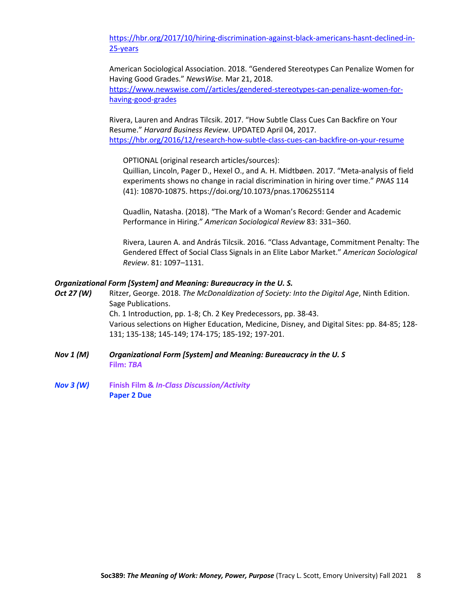https://hbr.org/2017/10/hiring-discrimination-against-black-americans-hasnt-declined-in-25-years

American Sociological Association. 2018. "Gendered Stereotypes Can Penalize Women for Having Good Grades." *NewsWise.* Mar 21, 2018. https://www.newswise.com//articles/gendered-stereotypes-can-penalize-women-forhaving-good-grades

Rivera, Lauren and Andras Tilcsik. 2017. "How Subtle Class Cues Can Backfire on Your Resume." *Harvard Business Review*. UPDATED April 04, 2017. https://hbr.org/2016/12/research-how-subtle-class-cues-can-backfire-on-your-resume

OPTIONAL (original research articles/sources):

Quillian, Lincoln, Pager D., Hexel O., and A. H. Midtbøen. 2017. "Meta-analysis of field experiments shows no change in racial discrimination in hiring over time." *PNAS* 114 (41): 10870-10875. https://doi.org/10.1073/pnas.1706255114

Quadlin, Natasha. (2018). "The Mark of a Woman's Record: Gender and Academic Performance in Hiring." *American Sociological Review* 83: 331–360.

Rivera, Lauren A. and András Tilcsik. 2016. "Class Advantage, Commitment Penalty: The Gendered Effect of Social Class Signals in an Elite Labor Market." *American Sociological Review*. 81: 1097–1131.

#### *Organizational Form [System] and Meaning: Bureaucracy in the U. S.*

- *Oct 27 (W)* Ritzer, George. 2018. *The McDonaldization of Society: Into the Digital Age*, Ninth Edition. Sage Publications. Ch. 1 Introduction, pp. 1-8; Ch. 2 Key Predecessors, pp. 38-43. Various selections on Higher Education, Medicine, Disney, and Digital Sites: pp. 84-85; 128- 131; 135-138; 145-149; 174-175; 185-192; 197-201.
- *Nov 1 (M) Organizational Form [System] and Meaning: Bureaucracy in the U. S* **Film:** *TBA*
- *Nov 3 (W)* **Finish Film &** *In-Class Discussion/Activity* **Paper 2 Due**